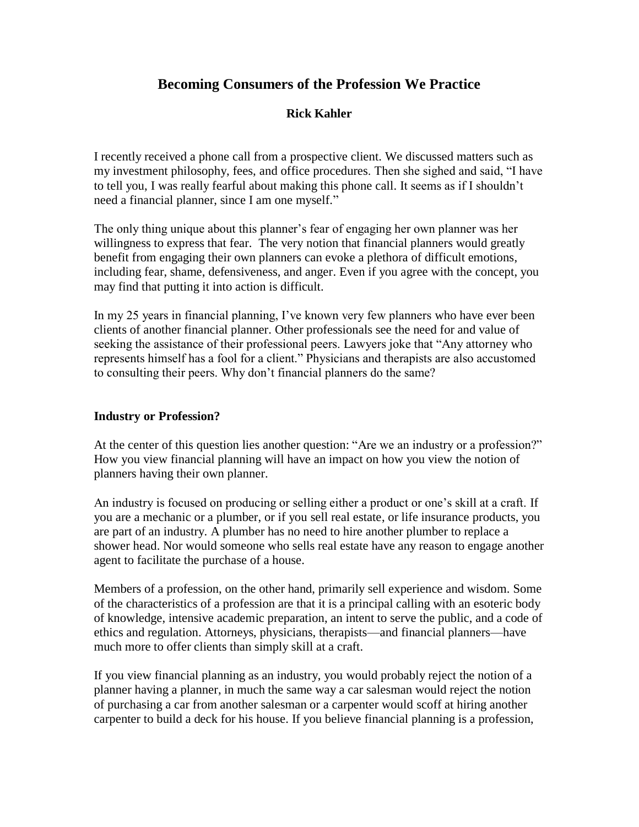# **Becoming Consumers of the Profession We Practice**

### **Rick Kahler**

I recently received a phone call from a prospective client. We discussed matters such as my investment philosophy, fees, and office procedures. Then she sighed and said, "I have to tell you, I was really fearful about making this phone call. It seems as if I shouldn't need a financial planner, since I am one myself."

The only thing unique about this planner's fear of engaging her own planner was her willingness to express that fear. The very notion that financial planners would greatly benefit from engaging their own planners can evoke a plethora of difficult emotions, including fear, shame, defensiveness, and anger. Even if you agree with the concept, you may find that putting it into action is difficult.

In my 25 years in financial planning, I've known very few planners who have ever been clients of another financial planner. Other professionals see the need for and value of seeking the assistance of their professional peers. Lawyers joke that "Any attorney who represents himself has a fool for a client." Physicians and therapists are also accustomed to consulting their peers. Why don't financial planners do the same?

#### **Industry or Profession?**

At the center of this question lies another question: "Are we an industry or a profession?" How you view financial planning will have an impact on how you view the notion of planners having their own planner.

An industry is focused on producing or selling either a product or one's skill at a craft. If you are a mechanic or a plumber, or if you sell real estate, or life insurance products, you are part of an industry. A plumber has no need to hire another plumber to replace a shower head. Nor would someone who sells real estate have any reason to engage another agent to facilitate the purchase of a house.

Members of a profession, on the other hand, primarily sell experience and wisdom. Some of the characteristics of a profession are that it is a principal calling with an esoteric body of knowledge, intensive academic preparation, an intent to serve the public, and a code of ethics and regulation. Attorneys, physicians, therapists—and financial planners—have much more to offer clients than simply skill at a craft.

If you view financial planning as an industry, you would probably reject the notion of a planner having a planner, in much the same way a car salesman would reject the notion of purchasing a car from another salesman or a carpenter would scoff at hiring another carpenter to build a deck for his house. If you believe financial planning is a profession,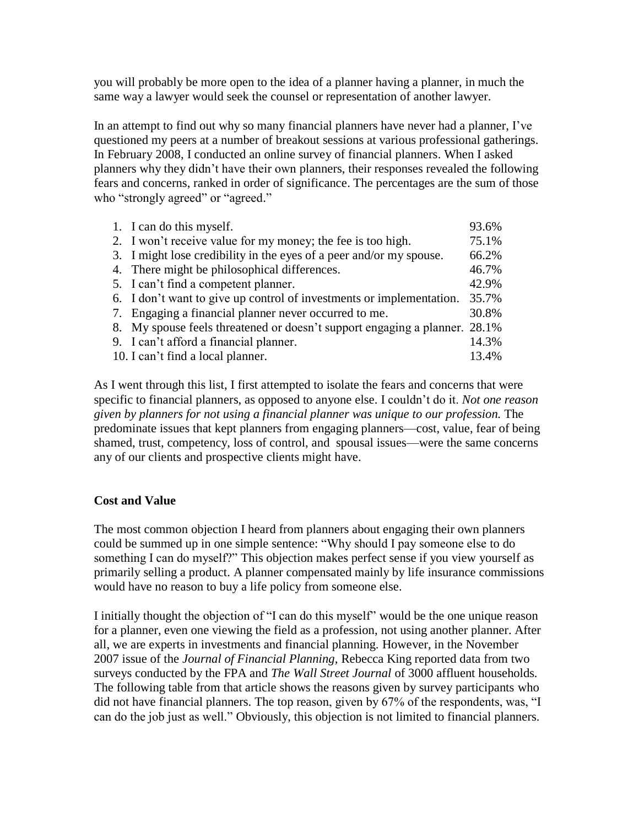you will probably be more open to the idea of a planner having a planner, in much the same way a lawyer would seek the counsel or representation of another lawyer.

In an attempt to find out why so many financial planners have never had a planner, I've questioned my peers at a number of breakout sessions at various professional gatherings. In February 2008, I conducted an online survey of financial planners. When I asked planners why they didn't have their own planners, their responses revealed the following fears and concerns, ranked in order of significance. The percentages are the sum of those who "strongly agreed" or "agreed."

| 1. I can do this myself.                                                   | 93.6% |
|----------------------------------------------------------------------------|-------|
| 2. I won't receive value for my money; the fee is too high.                | 75.1% |
| 3. I might lose credibility in the eyes of a peer and/or my spouse.        | 66.2% |
| 4. There might be philosophical differences.                               | 46.7% |
| 5. I can't find a competent planner.                                       | 42.9% |
| 6. I don't want to give up control of investments or implementation.       | 35.7% |
| 7. Engaging a financial planner never occurred to me.                      | 30.8% |
| 8. My spouse feels threatened or doesn't support engaging a planner. 28.1% |       |
| 9. I can't afford a financial planner.                                     | 14.3% |
| 10. I can't find a local planner.                                          | 13.4% |

As I went through this list, I first attempted to isolate the fears and concerns that were specific to financial planners, as opposed to anyone else. I couldn't do it. *Not one reason given by planners for not using a financial planner was unique to our profession.* The predominate issues that kept planners from engaging planners—cost, value, fear of being shamed, trust, competency, loss of control, and spousal issues—were the same concerns any of our clients and prospective clients might have.

### **Cost and Value**

The most common objection I heard from planners about engaging their own planners could be summed up in one simple sentence: "Why should I pay someone else to do something I can do myself?" This objection makes perfect sense if you view yourself as primarily selling a product. A planner compensated mainly by life insurance commissions would have no reason to buy a life policy from someone else.

I initially thought the objection of "I can do this myself" would be the one unique reason for a planner, even one viewing the field as a profession, not using another planner. After all, we are experts in investments and financial planning. However, in the November 2007 issue of the *Journal of Financial Planning,* Rebecca King reported data from two surveys conducted by the FPA and *The Wall Street Journal* of 3000 affluent households*.*  The following table from that article shows the reasons given by survey participants who did not have financial planners. The top reason, given by 67% of the respondents, was, "I can do the job just as well." Obviously, this objection is not limited to financial planners.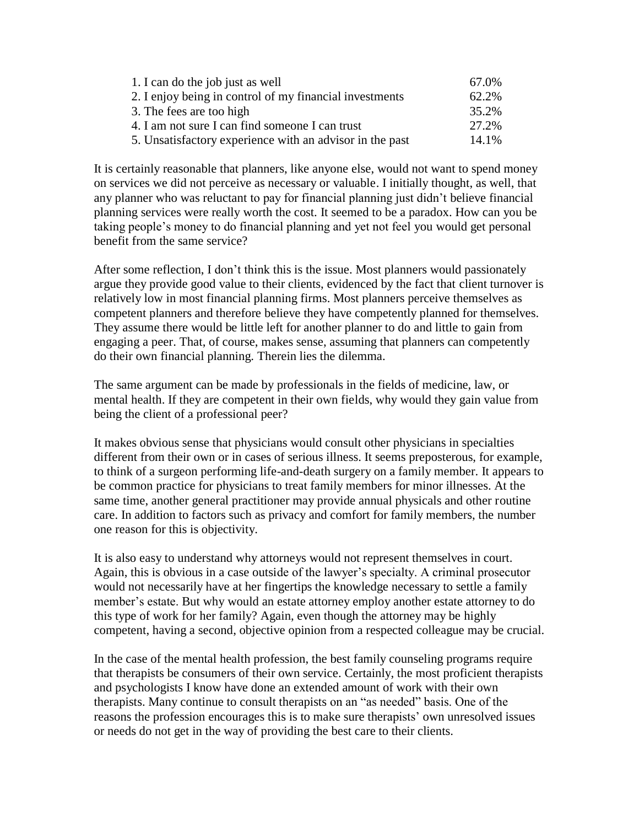| 1. I can do the job just as well                         | 67.0% |
|----------------------------------------------------------|-------|
| 2. I enjoy being in control of my financial investments  | 62.2% |
| 3. The fees are too high                                 | 35.2% |
| 4. I am not sure I can find someone I can trust          | 27.2% |
| 5. Unsatisfactory experience with an advisor in the past | 14.1% |

It is certainly reasonable that planners, like anyone else, would not want to spend money on services we did not perceive as necessary or valuable. I initially thought, as well, that any planner who was reluctant to pay for financial planning just didn't believe financial planning services were really worth the cost. It seemed to be a paradox. How can you be taking people's money to do financial planning and yet not feel you would get personal benefit from the same service?

After some reflection, I don't think this is the issue. Most planners would passionately argue they provide good value to their clients, evidenced by the fact that client turnover is relatively low in most financial planning firms. Most planners perceive themselves as competent planners and therefore believe they have competently planned for themselves. They assume there would be little left for another planner to do and little to gain from engaging a peer. That, of course, makes sense, assuming that planners can competently do their own financial planning. Therein lies the dilemma.

The same argument can be made by professionals in the fields of medicine, law, or mental health. If they are competent in their own fields, why would they gain value from being the client of a professional peer?

It makes obvious sense that physicians would consult other physicians in specialties different from their own or in cases of serious illness. It seems preposterous, for example, to think of a surgeon performing life-and-death surgery on a family member. It appears to be common practice for physicians to treat family members for minor illnesses. At the same time, another general practitioner may provide annual physicals and other routine care. In addition to factors such as privacy and comfort for family members, the number one reason for this is objectivity.

It is also easy to understand why attorneys would not represent themselves in court. Again, this is obvious in a case outside of the lawyer's specialty. A criminal prosecutor would not necessarily have at her fingertips the knowledge necessary to settle a family member's estate. But why would an estate attorney employ another estate attorney to do this type of work for her family? Again, even though the attorney may be highly competent, having a second, objective opinion from a respected colleague may be crucial.

In the case of the mental health profession, the best family counseling programs require that therapists be consumers of their own service. Certainly, the most proficient therapists and psychologists I know have done an extended amount of work with their own therapists. Many continue to consult therapists on an "as needed" basis. One of the reasons the profession encourages this is to make sure therapists' own unresolved issues or needs do not get in the way of providing the best care to their clients.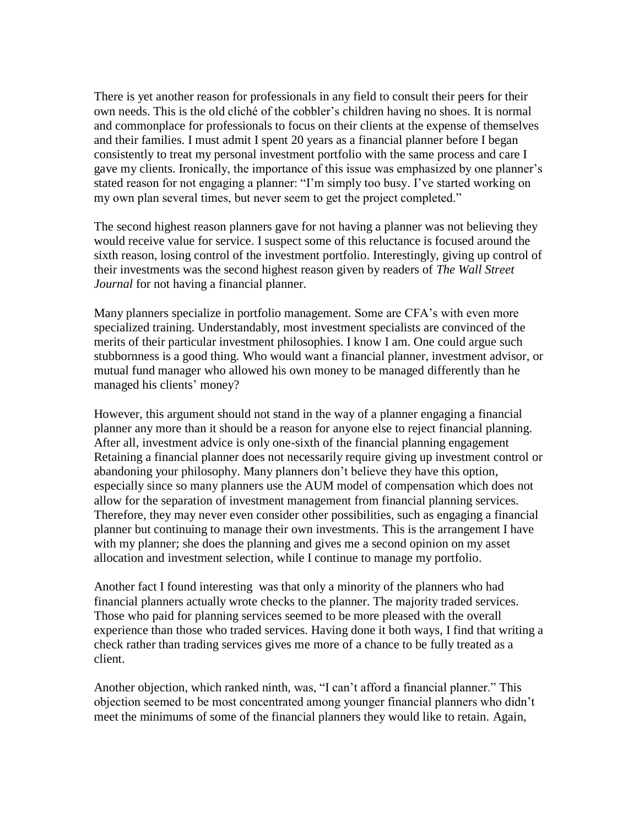There is yet another reason for professionals in any field to consult their peers for their own needs. This is the old cliché of the cobbler's children having no shoes. It is normal and commonplace for professionals to focus on their clients at the expense of themselves and their families. I must admit I spent 20 years as a financial planner before I began consistently to treat my personal investment portfolio with the same process and care I gave my clients. Ironically, the importance of this issue was emphasized by one planner's stated reason for not engaging a planner: "I'm simply too busy. I've started working on my own plan several times, but never seem to get the project completed."

The second highest reason planners gave for not having a planner was not believing they would receive value for service. I suspect some of this reluctance is focused around the sixth reason, losing control of the investment portfolio. Interestingly, giving up control of their investments was the second highest reason given by readers of *The Wall Street Journal* for not having a financial planner.

Many planners specialize in portfolio management. Some are CFA's with even more specialized training. Understandably, most investment specialists are convinced of the merits of their particular investment philosophies. I know I am. One could argue such stubbornness is a good thing. Who would want a financial planner, investment advisor, or mutual fund manager who allowed his own money to be managed differently than he managed his clients' money?

However, this argument should not stand in the way of a planner engaging a financial planner any more than it should be a reason for anyone else to reject financial planning. After all, investment advice is only one-sixth of the financial planning engagement Retaining a financial planner does not necessarily require giving up investment control or abandoning your philosophy. Many planners don't believe they have this option, especially since so many planners use the AUM model of compensation which does not allow for the separation of investment management from financial planning services. Therefore, they may never even consider other possibilities, such as engaging a financial planner but continuing to manage their own investments. This is the arrangement I have with my planner; she does the planning and gives me a second opinion on my asset allocation and investment selection, while I continue to manage my portfolio.

Another fact I found interesting was that only a minority of the planners who had financial planners actually wrote checks to the planner. The majority traded services. Those who paid for planning services seemed to be more pleased with the overall experience than those who traded services. Having done it both ways, I find that writing a check rather than trading services gives me more of a chance to be fully treated as a client.

Another objection, which ranked ninth, was, "I can't afford a financial planner." This objection seemed to be most concentrated among younger financial planners who didn't meet the minimums of some of the financial planners they would like to retain. Again,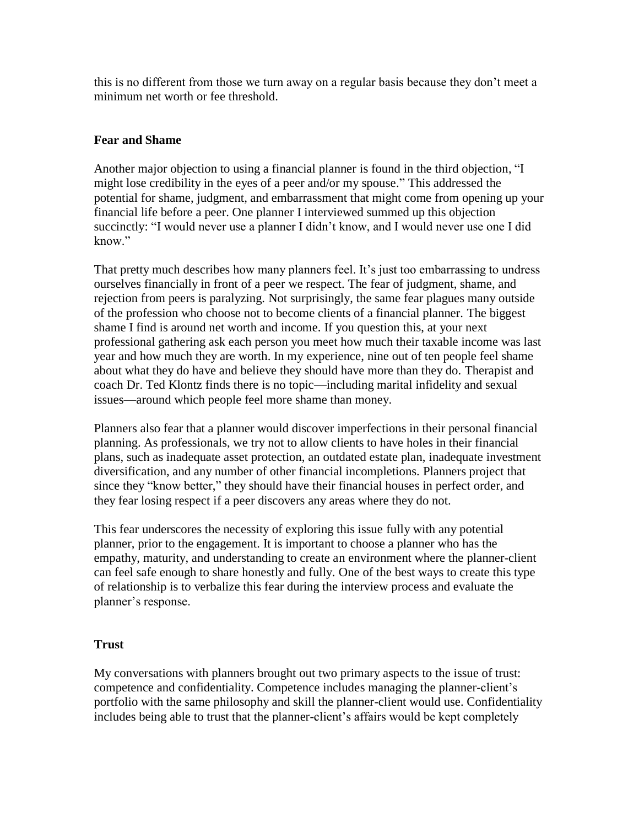this is no different from those we turn away on a regular basis because they don't meet a minimum net worth or fee threshold.

#### **Fear and Shame**

Another major objection to using a financial planner is found in the third objection, "I might lose credibility in the eyes of a peer and/or my spouse." This addressed the potential for shame, judgment, and embarrassment that might come from opening up your financial life before a peer. One planner I interviewed summed up this objection succinctly: "I would never use a planner I didn't know, and I would never use one I did know"

That pretty much describes how many planners feel. It's just too embarrassing to undress ourselves financially in front of a peer we respect. The fear of judgment, shame, and rejection from peers is paralyzing. Not surprisingly, the same fear plagues many outside of the profession who choose not to become clients of a financial planner. The biggest shame I find is around net worth and income. If you question this, at your next professional gathering ask each person you meet how much their taxable income was last year and how much they are worth. In my experience, nine out of ten people feel shame about what they do have and believe they should have more than they do. Therapist and coach Dr. Ted Klontz finds there is no topic—including marital infidelity and sexual issues—around which people feel more shame than money.

Planners also fear that a planner would discover imperfections in their personal financial planning. As professionals, we try not to allow clients to have holes in their financial plans, such as inadequate asset protection, an outdated estate plan, inadequate investment diversification, and any number of other financial incompletions. Planners project that since they "know better," they should have their financial houses in perfect order, and they fear losing respect if a peer discovers any areas where they do not.

This fear underscores the necessity of exploring this issue fully with any potential planner, prior to the engagement. It is important to choose a planner who has the empathy, maturity, and understanding to create an environment where the planner-client can feel safe enough to share honestly and fully. One of the best ways to create this type of relationship is to verbalize this fear during the interview process and evaluate the planner's response.

#### **Trust**

My conversations with planners brought out two primary aspects to the issue of trust: competence and confidentiality. Competence includes managing the planner-client's portfolio with the same philosophy and skill the planner-client would use. Confidentiality includes being able to trust that the planner-client's affairs would be kept completely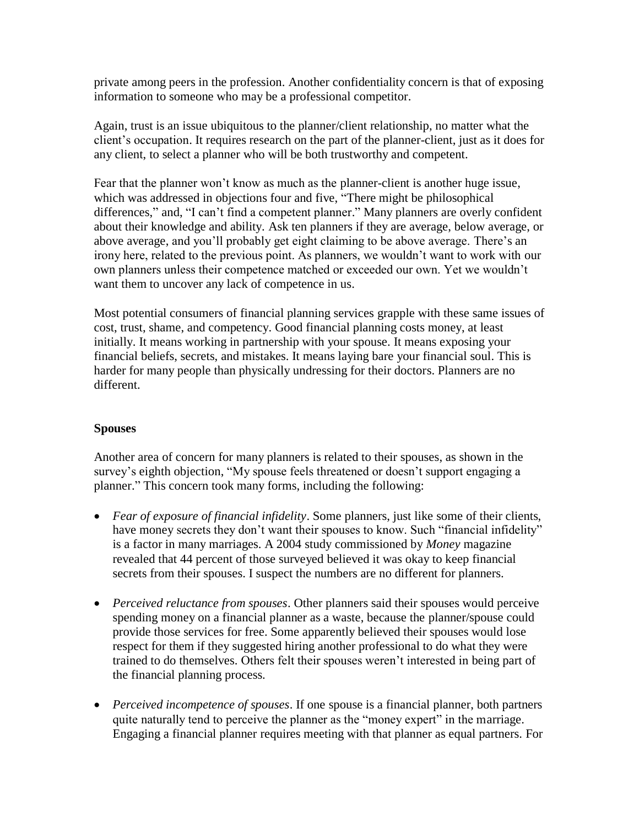private among peers in the profession. Another confidentiality concern is that of exposing information to someone who may be a professional competitor.

Again, trust is an issue ubiquitous to the planner/client relationship, no matter what the client's occupation. It requires research on the part of the planner-client, just as it does for any client, to select a planner who will be both trustworthy and competent.

Fear that the planner won't know as much as the planner-client is another huge issue, which was addressed in objections four and five, "There might be philosophical differences," and, "I can't find a competent planner." Many planners are overly confident about their knowledge and ability. Ask ten planners if they are average, below average, or above average, and you'll probably get eight claiming to be above average. There's an irony here, related to the previous point. As planners, we wouldn't want to work with our own planners unless their competence matched or exceeded our own. Yet we wouldn't want them to uncover any lack of competence in us.

Most potential consumers of financial planning services grapple with these same issues of cost, trust, shame, and competency. Good financial planning costs money, at least initially. It means working in partnership with your spouse. It means exposing your financial beliefs, secrets, and mistakes. It means laying bare your financial soul. This is harder for many people than physically undressing for their doctors. Planners are no different.

### **Spouses**

Another area of concern for many planners is related to their spouses, as shown in the survey's eighth objection, "My spouse feels threatened or doesn't support engaging a planner." This concern took many forms, including the following:

- *Fear of exposure of financial infidelity*. Some planners, just like some of their clients, have money secrets they don't want their spouses to know. Such "financial infidelity" is a factor in many marriages. A 2004 study commissioned by *Money* magazine revealed that 44 percent of those surveyed believed it was okay to keep financial secrets from their spouses. I suspect the numbers are no different for planners.
- *Perceived reluctance from spouses*. Other planners said their spouses would perceive spending money on a financial planner as a waste, because the planner/spouse could provide those services for free. Some apparently believed their spouses would lose respect for them if they suggested hiring another professional to do what they were trained to do themselves. Others felt their spouses weren't interested in being part of the financial planning process.
- *Perceived incompetence of spouses*. If one spouse is a financial planner, both partners quite naturally tend to perceive the planner as the "money expert" in the marriage. Engaging a financial planner requires meeting with that planner as equal partners. For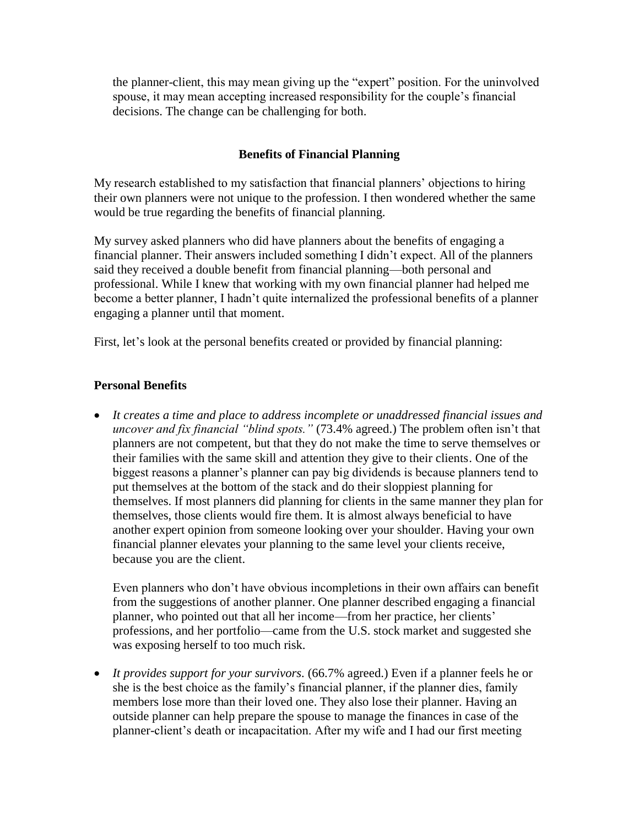the planner-client, this may mean giving up the "expert" position. For the uninvolved spouse, it may mean accepting increased responsibility for the couple's financial decisions. The change can be challenging for both.

## **Benefits of Financial Planning**

My research established to my satisfaction that financial planners' objections to hiring their own planners were not unique to the profession. I then wondered whether the same would be true regarding the benefits of financial planning.

My survey asked planners who did have planners about the benefits of engaging a financial planner. Their answers included something I didn't expect. All of the planners said they received a double benefit from financial planning—both personal and professional. While I knew that working with my own financial planner had helped me become a better planner, I hadn't quite internalized the professional benefits of a planner engaging a planner until that moment.

First, let's look at the personal benefits created or provided by financial planning:

# **Personal Benefits**

 *It creates a time and place to address incomplete or unaddressed financial issues and uncover and fix financial "blind spots."* (73.4% agreed.) The problem often isn't that planners are not competent, but that they do not make the time to serve themselves or their families with the same skill and attention they give to their clients. One of the biggest reasons a planner's planner can pay big dividends is because planners tend to put themselves at the bottom of the stack and do their sloppiest planning for themselves. If most planners did planning for clients in the same manner they plan for themselves, those clients would fire them. It is almost always beneficial to have another expert opinion from someone looking over your shoulder. Having your own financial planner elevates your planning to the same level your clients receive, because you are the client.

Even planners who don't have obvious incompletions in their own affairs can benefit from the suggestions of another planner. One planner described engaging a financial planner, who pointed out that all her income—from her practice, her clients' professions, and her portfolio—came from the U.S. stock market and suggested she was exposing herself to too much risk.

 *It provides support for your survivors.* (66.7% agreed.) Even if a planner feels he or she is the best choice as the family's financial planner, if the planner dies, family members lose more than their loved one. They also lose their planner. Having an outside planner can help prepare the spouse to manage the finances in case of the planner-client's death or incapacitation. After my wife and I had our first meeting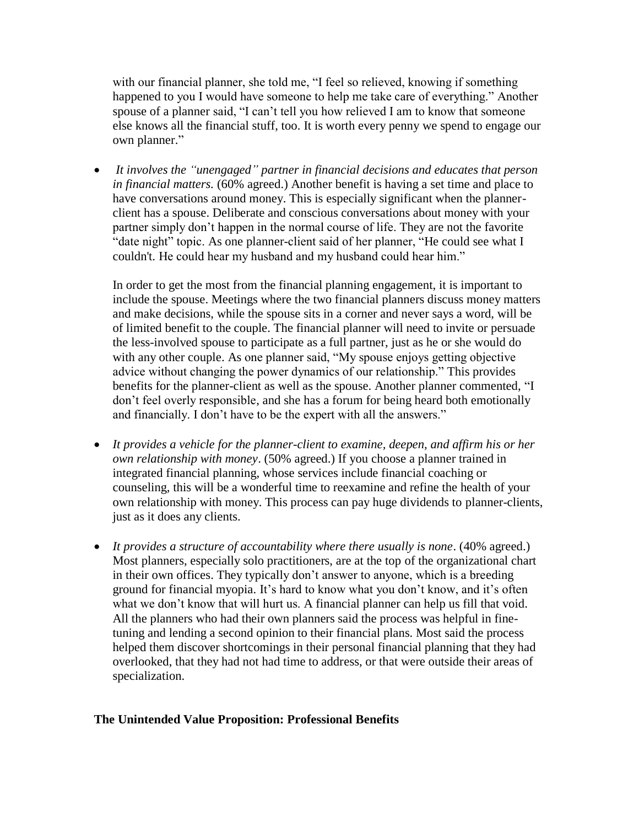with our financial planner, she told me, "I feel so relieved, knowing if something happened to you I would have someone to help me take care of everything." Another spouse of a planner said, "I can't tell you how relieved I am to know that someone else knows all the financial stuff, too. It is worth every penny we spend to engage our own planner."

 *It involves the "unengaged" partner in financial decisions and educates that person in financial matters.* (60% agreed.) Another benefit is having a set time and place to have conversations around money. This is especially significant when the plannerclient has a spouse. Deliberate and conscious conversations about money with your partner simply don't happen in the normal course of life. They are not the favorite "date night" topic. As one planner-client said of her planner, "He could see what I couldn't. He could hear my husband and my husband could hear him."

In order to get the most from the financial planning engagement, it is important to include the spouse. Meetings where the two financial planners discuss money matters and make decisions, while the spouse sits in a corner and never says a word, will be of limited benefit to the couple. The financial planner will need to invite or persuade the less-involved spouse to participate as a full partner, just as he or she would do with any other couple. As one planner said, "My spouse enjoys getting objective advice without changing the power dynamics of our relationship." This provides benefits for the planner-client as well as the spouse. Another planner commented, "I don't feel overly responsible, and she has a forum for being heard both emotionally and financially. I don't have to be the expert with all the answers."

- *It provides a vehicle for the planner-client to examine, deepen, and affirm his or her own relationship with money*. (50% agreed.) If you choose a planner trained in integrated financial planning, whose services include financial coaching or counseling, this will be a wonderful time to reexamine and refine the health of your own relationship with money. This process can pay huge dividends to planner-clients, just as it does any clients.
- *It provides a structure of accountability where there usually is none*. (40% agreed.) Most planners, especially solo practitioners, are at the top of the organizational chart in their own offices. They typically don't answer to anyone, which is a breeding ground for financial myopia. It's hard to know what you don't know, and it's often what we don't know that will hurt us. A financial planner can help us fill that void. All the planners who had their own planners said the process was helpful in finetuning and lending a second opinion to their financial plans. Most said the process helped them discover shortcomings in their personal financial planning that they had overlooked, that they had not had time to address, or that were outside their areas of specialization.

#### **The Unintended Value Proposition: Professional Benefits**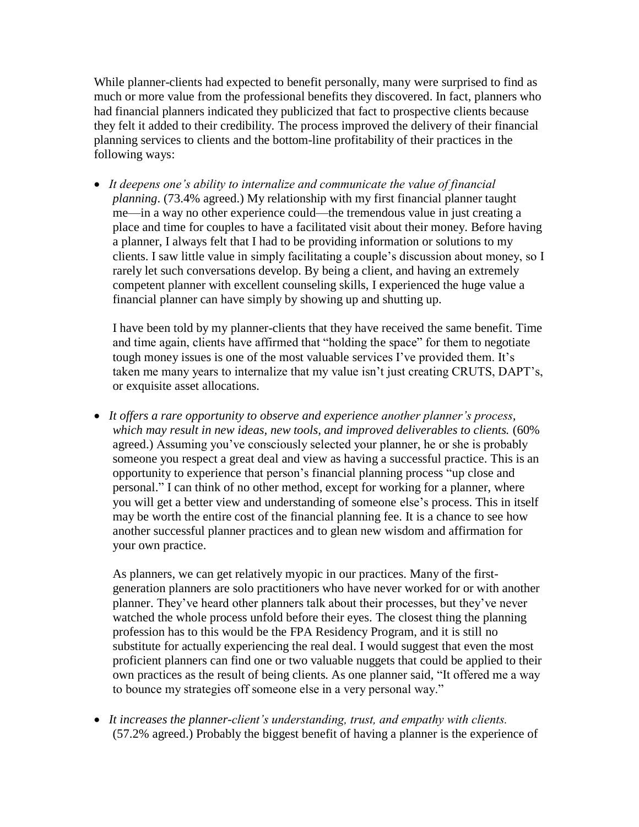While planner-clients had expected to benefit personally, many were surprised to find as much or more value from the professional benefits they discovered. In fact, planners who had financial planners indicated they publicized that fact to prospective clients because they felt it added to their credibility. The process improved the delivery of their financial planning services to clients and the bottom-line profitability of their practices in the following ways:

 *It deepens one's ability to internalize and communicate the value of financial planning*. (73.4% agreed.) My relationship with my first financial planner taught me—in a way no other experience could—the tremendous value in just creating a place and time for couples to have a facilitated visit about their money. Before having a planner, I always felt that I had to be providing information or solutions to my clients. I saw little value in simply facilitating a couple's discussion about money, so I rarely let such conversations develop. By being a client, and having an extremely competent planner with excellent counseling skills, I experienced the huge value a financial planner can have simply by showing up and shutting up.

I have been told by my planner-clients that they have received the same benefit. Time and time again, clients have affirmed that "holding the space" for them to negotiate tough money issues is one of the most valuable services I've provided them. It's taken me many years to internalize that my value isn't just creating CRUTS, DAPT's, or exquisite asset allocations.

 *It offers a rare opportunity to observe and experience another planner's process, which may result in new ideas, new tools, and improved deliverables to clients.* (60% agreed.) Assuming you've consciously selected your planner, he or she is probably someone you respect a great deal and view as having a successful practice. This is an opportunity to experience that person's financial planning process "up close and personal." I can think of no other method, except for working for a planner, where you will get a better view and understanding of someone else's process. This in itself may be worth the entire cost of the financial planning fee. It is a chance to see how another successful planner practices and to glean new wisdom and affirmation for your own practice.

As planners, we can get relatively myopic in our practices. Many of the firstgeneration planners are solo practitioners who have never worked for or with another planner. They've heard other planners talk about their processes, but they've never watched the whole process unfold before their eyes. The closest thing the planning profession has to this would be the FPA Residency Program, and it is still no substitute for actually experiencing the real deal. I would suggest that even the most proficient planners can find one or two valuable nuggets that could be applied to their own practices as the result of being clients. As one planner said, "It offered me a way to bounce my strategies off someone else in a very personal way."

 *It increases the planner-client's understanding, trust, and empathy with clients.* (57.2% agreed.) Probably the biggest benefit of having a planner is the experience of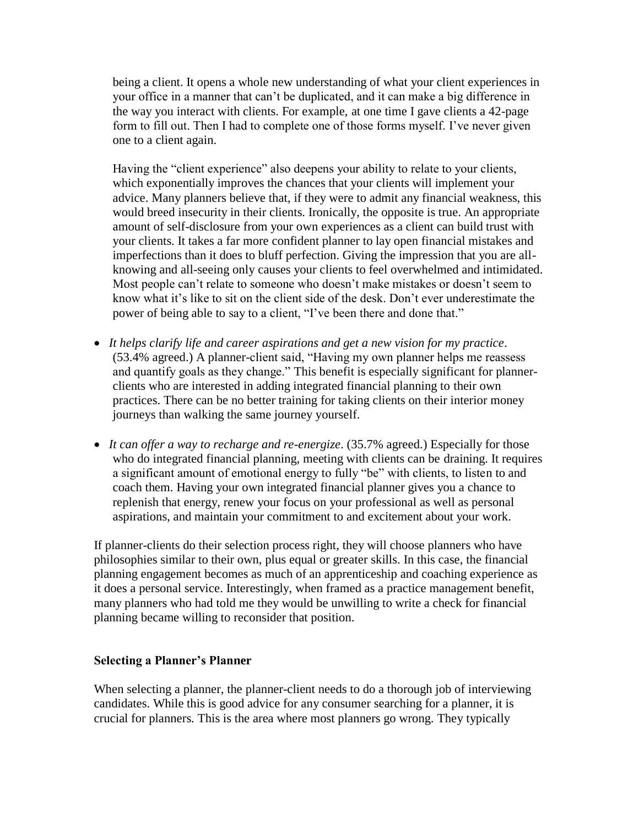being a client. It opens a whole new understanding of what your client experiences in your office in a manner that can't be duplicated, and it can make a big difference in the way you interact with clients. For example, at one time I gave clients a 42-page form to fill out. Then I had to complete one of those forms myself. I've never given one to a client again.

Having the "client experience" also deepens your ability to relate to your clients, which exponentially improves the chances that your clients will implement your advice. Many planners believe that, if they were to admit any financial weakness, this would breed insecurity in their clients. Ironically, the opposite is true. An appropriate amount of self-disclosure from your own experiences as a client can build trust with your clients. It takes a far more confident planner to lay open financial mistakes and imperfections than it does to bluff perfection. Giving the impression that you are allknowing and all-seeing only causes your clients to feel overwhelmed and intimidated. Most people can't relate to someone who doesn't make mistakes or doesn't seem to know what it's like to sit on the client side of the desk. Don't ever underestimate the power of being able to say to a client, "I've been there and done that."

- *It helps clarify life and career aspirations and get a new vision for my practice*. (53.4% agreed.) A planner-client said, "Having my own planner helps me reassess and quantify goals as they change." This benefit is especially significant for plannerclients who are interested in adding integrated financial planning to their own practices. There can be no better training for taking clients on their interior money journeys than walking the same journey yourself.
- *It can offer a way to recharge and re-energize*. (35.7% agreed.) Especially for those who do integrated financial planning, meeting with clients can be draining. It requires a significant amount of emotional energy to fully "be" with clients, to listen to and coach them. Having your own integrated financial planner gives you a chance to replenish that energy, renew your focus on your professional as well as personal aspirations, and maintain your commitment to and excitement about your work.

If planner-clients do their selection process right, they will choose planners who have philosophies similar to their own, plus equal or greater skills. In this case, the financial planning engagement becomes as much of an apprenticeship and coaching experience as it does a personal service. Interestingly, when framed as a practice management benefit, many planners who had told me they would be unwilling to write a check for financial planning became willing to reconsider that position.

#### **Selecting a Planner's Planner**

When selecting a planner, the planner-client needs to do a thorough job of interviewing candidates. While this is good advice for any consumer searching for a planner, it is crucial for planners. This is the area where most planners go wrong. They typically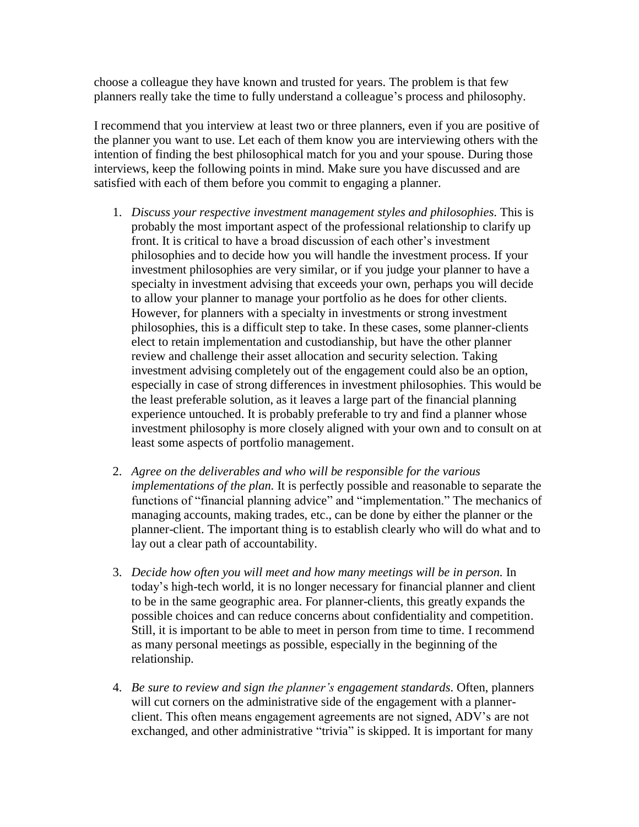choose a colleague they have known and trusted for years. The problem is that few planners really take the time to fully understand a colleague's process and philosophy.

I recommend that you interview at least two or three planners, even if you are positive of the planner you want to use. Let each of them know you are interviewing others with the intention of finding the best philosophical match for you and your spouse. During those interviews, keep the following points in mind. Make sure you have discussed and are satisfied with each of them before you commit to engaging a planner.

- 1. *Discuss your respective investment management styles and philosophies*. This is probably the most important aspect of the professional relationship to clarify up front. It is critical to have a broad discussion of each other's investment philosophies and to decide how you will handle the investment process. If your investment philosophies are very similar, or if you judge your planner to have a specialty in investment advising that exceeds your own, perhaps you will decide to allow your planner to manage your portfolio as he does for other clients. However, for planners with a specialty in investments or strong investment philosophies, this is a difficult step to take. In these cases, some planner-clients elect to retain implementation and custodianship, but have the other planner review and challenge their asset allocation and security selection. Taking investment advising completely out of the engagement could also be an option, especially in case of strong differences in investment philosophies. This would be the least preferable solution, as it leaves a large part of the financial planning experience untouched. It is probably preferable to try and find a planner whose investment philosophy is more closely aligned with your own and to consult on at least some aspects of portfolio management.
- 2. *Agree on the deliverables and who will be responsible for the various implementations of the plan.* It is perfectly possible and reasonable to separate the functions of "financial planning advice" and "implementation." The mechanics of managing accounts, making trades, etc., can be done by either the planner or the planner-client. The important thing is to establish clearly who will do what and to lay out a clear path of accountability.
- 3. *Decide how often you will meet and how many meetings will be in person.* In today's high-tech world, it is no longer necessary for financial planner and client to be in the same geographic area. For planner-clients, this greatly expands the possible choices and can reduce concerns about confidentiality and competition. Still, it is important to be able to meet in person from time to time. I recommend as many personal meetings as possible, especially in the beginning of the relationship.
- 4. *Be sure to review and sign the planner's engagement standards*. Often, planners will cut corners on the administrative side of the engagement with a plannerclient. This often means engagement agreements are not signed, ADV's are not exchanged, and other administrative "trivia" is skipped. It is important for many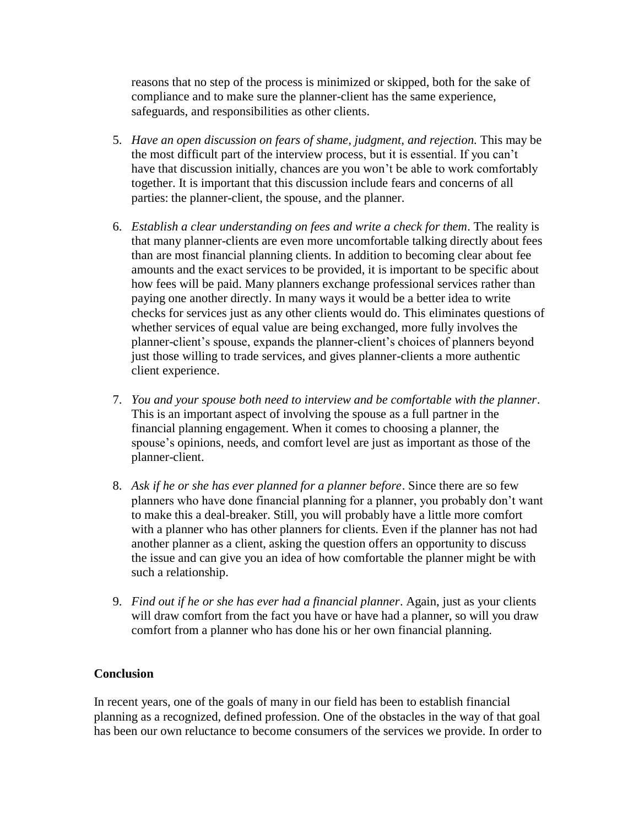reasons that no step of the process is minimized or skipped, both for the sake of compliance and to make sure the planner-client has the same experience, safeguards, and responsibilities as other clients.

- 5. *Have an open discussion on fears of shame, judgment, and rejection.* This may be the most difficult part of the interview process, but it is essential. If you can't have that discussion initially, chances are you won't be able to work comfortably together. It is important that this discussion include fears and concerns of all parties: the planner-client, the spouse, and the planner.
- 6. *Establish a clear understanding on fees and write a check for them*. The reality is that many planner-clients are even more uncomfortable talking directly about fees than are most financial planning clients. In addition to becoming clear about fee amounts and the exact services to be provided, it is important to be specific about how fees will be paid. Many planners exchange professional services rather than paying one another directly. In many ways it would be a better idea to write checks for services just as any other clients would do. This eliminates questions of whether services of equal value are being exchanged, more fully involves the planner-client's spouse, expands the planner-client's choices of planners beyond just those willing to trade services, and gives planner-clients a more authentic client experience.
- 7. *You and your spouse both need to interview and be comfortable with the planner*. This is an important aspect of involving the spouse as a full partner in the financial planning engagement. When it comes to choosing a planner, the spouse's opinions, needs, and comfort level are just as important as those of the planner-client.
- 8. *Ask if he or she has ever planned for a planner before*. Since there are so few planners who have done financial planning for a planner, you probably don't want to make this a deal-breaker. Still, you will probably have a little more comfort with a planner who has other planners for clients. Even if the planner has not had another planner as a client, asking the question offers an opportunity to discuss the issue and can give you an idea of how comfortable the planner might be with such a relationship.
- 9. *Find out if he or she has ever had a financial planner*. Again, just as your clients will draw comfort from the fact you have or have had a planner, so will you draw comfort from a planner who has done his or her own financial planning.

### **Conclusion**

In recent years, one of the goals of many in our field has been to establish financial planning as a recognized, defined profession. One of the obstacles in the way of that goal has been our own reluctance to become consumers of the services we provide. In order to